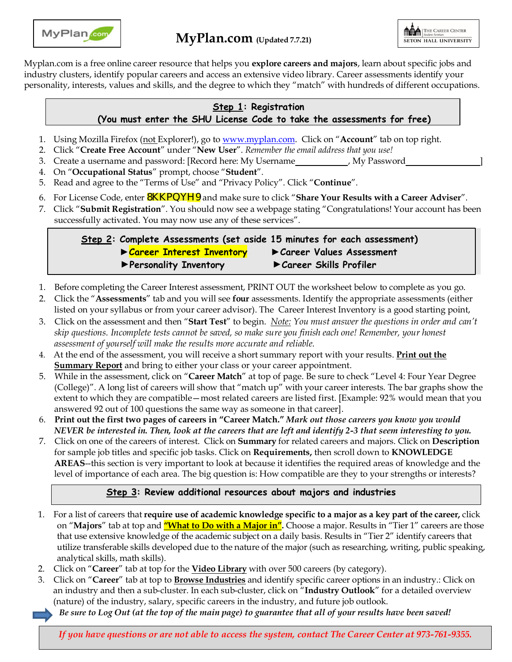

Myplan.com is a free online career resource that helps you **explore careers and majors**, learn about specific jobs and industry clusters, identify popular careers and access an extensive video library. Career assessments identify your personality, interests, values and skills, and the degree to which they "match" with hundreds of different occupations.

### **Step 1: Registration (You must enter the SHU License Code to take the assessments for free)**

- 1. Using Mozilla Firefox (not Explorer!), go to [www.myplan.com. C](http://www.myplan.com/)lick on "**Account**" tab on top right.
- 2. Click "**Create Free Account**" under "**New User**". *Remember the email address that you use!*
- 3. Create a username and password: [Record here: My Username , My Password ]
- 4. On "**Occupational Status**" prompt, choose "**Student**".
- 5. Read and agree to the "Terms of Use" and "Privacy Policy". Click "**Continue**".
- 6. For License Code, enter 8KKPQYH9 and make sure to click "**Share Your Results with a Career Adviser**".
- 7. Click "**Submit Registration**". You should now see a webpage stating "Congratulations! Your account has been successfully activated. You may now use any of these services".

## **Step 2: Complete Assessments (set aside 15 minutes for each assessment) ►Career Interest Inventory ►Career Values Assessment ►Personality Inventory ►Career Skills Profiler**

- 1. Before completing the Career Interest assessment, PRINT OUT the worksheet below to complete as you go.
- 2. Click the "**Assessments**" tab and you will see **four** assessments. Identify the appropriate assessments (either listed on your syllabus or from your career advisor). The Career Interest Inventory is a good starting point,
- 3. Click on the assessment and then "**Start Test**" to begin. *Note: You must answer the questions in order and can't skip questions. Incomplete tests cannot be saved, so make sure you finish each one! Remember, your honest assessment of yourself will make the results more accurate and reliable.*
- 4. At the end of the assessment, you will receive a short summary report with your results. **Print out the Summary Report** and bring to either your class or your career appointment.
- 5. While in the assessment, click on "**Career Match**" at top of page. Be sure to check "Level 4: Four Year Degree (College)". A long list of careers will show that "match up" with your career interests. The bar graphs show the extent to which they are compatible—most related careers are listed first. [Example: 92% would mean that you answered 92 out of 100 questions the same way as someone in that career].
- 6. **Print out the first two pages of careers in "Career Match."** *Mark out those careers you know you would NEVER be interested in. Then, look at the careers that are left and identify 2-3 that seem interesting to you.*
- 7. Click on one of the careers of interest. Click on **Summary** for related careers and majors. Click on **Description** for sample job titles and specific job tasks. Click on **Requirements,** then scroll down to **KNOWLEDGE AREAS**--this section is very important to look at because it identifies the required areas of knowledge and the level of importance of each area. The big question is: How compatible are they to your strengths or interests?

#### **Step 3: Review additional resources about majors and industries**

- 1. For a list of careers that **require use of academic knowledge specific to a major as a key part of the career,** click on "**Majors**" tab at top and **"What to Do with a Major in".** Choose a major. Results in "Tier 1" careers are those that use extensive knowledge of the academic subject on a daily basis. Results in "Tier 2" identify careers that utilize transferable skills developed due to the nature of the major (such as researching, writing, public speaking, analytical skills, math skills).
- 2. Click on "**Career**" tab at top for the **Video Library** with over 500 careers (by category).
- 3. Click on "**Career**" tab at top to **Browse Industries** and identify specific career options in an industry.: Click on an industry and then a sub-cluster. In each sub-cluster, click on "**Industry Outlook**" for a detailed overview (nature) of the industry, salary, specific careers in the industry, and future job outlook.
	- *Be sure to Log Out (at the top of the main page) to guarantee that all of your results have been saved!*